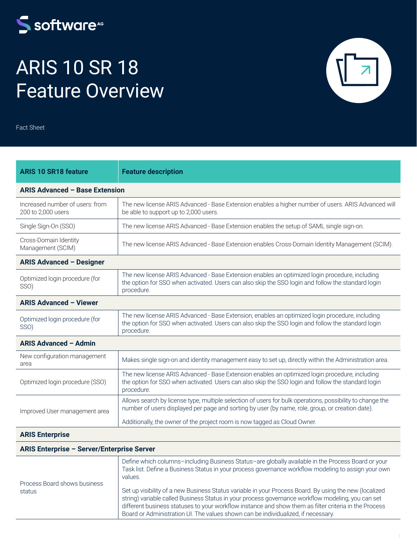## S software<sup>46</sup>

# ARIS 10 SR 18 Feature Overview

Fact Sheet

| <b>ARIS 10 SR18 feature</b>                           | <b>Feature description</b>                                                                                                                                                                                          |  |
|-------------------------------------------------------|---------------------------------------------------------------------------------------------------------------------------------------------------------------------------------------------------------------------|--|
| <b>ARIS Advanced - Base Extension</b>                 |                                                                                                                                                                                                                     |  |
| Increased number of users: from<br>200 to 2,000 users | The new license ARIS Advanced - Base Extension enables a higher number of users. ARIS Advanced will<br>be able to support up to 2,000 users.                                                                        |  |
| Single Sign-On (SSO)                                  | The new license ARIS Advanced - Base Extension enables the setup of SAML single sign-on.                                                                                                                            |  |
| Cross-Domain Identity<br>Management (SCIM)            | The new license ARIS Advanced - Base Extension enables Cross-Domain Identity Management (SCIM).                                                                                                                     |  |
| <b>ARIS Advanced - Designer</b>                       |                                                                                                                                                                                                                     |  |
| Optimized login procedure (for<br>SSO)                | The new license ARIS Advanced - Base Extension enables an optimized login procedure, including<br>the option for SSO when activated. Users can also skip the SSO login and follow the standard login<br>procedure.  |  |
| <b>ARIS Advanced - Viewer</b>                         |                                                                                                                                                                                                                     |  |
| Optimized login procedure (for<br>SSO)                | The new license ARIS Advanced - Base Extension, enables an optimized login procedure, including<br>the option for SSO when activated. Users can also skip the SSO login and follow the standard login<br>procedure. |  |
| <b>ARIS Advanced - Admin</b>                          |                                                                                                                                                                                                                     |  |
| New configuration management<br>area                  | Makes single sign-on and identity management easy to set up, directly within the Administration area.                                                                                                               |  |
| Optimized login procedure (SSO)                       | The new license ARIS Advanced - Base Extension enables an optimized login procedure, including<br>the option for SSO when activated. Users can also skip the SSO login and follow the standard login<br>procedure.  |  |
| Improved User management area                         | Allows search by license type, multiple selection of users for bulk operations, possibility to change the<br>number of users displayed per page and sorting by user (by name, role, group, or creation date).       |  |
|                                                       | Additionally, the owner of the project room is now tagged as Cloud Owner.                                                                                                                                           |  |
| <b>ARIS Enterprise</b>                                |                                                                                                                                                                                                                     |  |

#### **ARIS Enterprise – Server/Enterprise Server**

| Process Board shows business<br>status | Define which columns-including Business Status-are globally available in the Process Board or your<br>Task list. Define a Business Status in your process governance workflow modeling to assign your own<br>values.                                                                                                                                                                                      |
|----------------------------------------|-----------------------------------------------------------------------------------------------------------------------------------------------------------------------------------------------------------------------------------------------------------------------------------------------------------------------------------------------------------------------------------------------------------|
|                                        | Set up visibility of a new Business Status variable in your Process Board. By using the new (localized<br>string) variable called Business Status in your process governance workflow modeling, you can set<br>different business statuses to your workflow instance and show them as filter criteria in the Process<br>Board or Administration UI. The values shown can be individualized, if necessary. |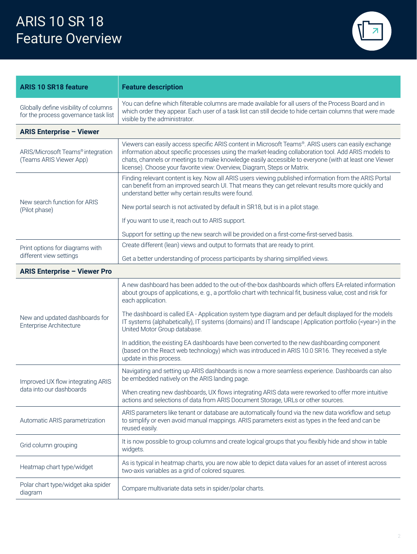

| <b>ARIS 10 SR18 feature</b>                                                   | <b>Feature description</b>                                                                                                                                                                                                                                                                                                                                                                       |  |
|-------------------------------------------------------------------------------|--------------------------------------------------------------------------------------------------------------------------------------------------------------------------------------------------------------------------------------------------------------------------------------------------------------------------------------------------------------------------------------------------|--|
| Globally define visibility of columns<br>for the process governance task list | You can define which filterable columns are made available for all users of the Process Board and in<br>which order they appear. Each user of a task list can still decide to hide certain columns that were made<br>visible by the administrator.                                                                                                                                               |  |
| <b>ARIS Enterprise - Viewer</b>                                               |                                                                                                                                                                                                                                                                                                                                                                                                  |  |
| ARIS/Microsoft Teams® integration<br>(Teams ARIS Viewer App)                  | Viewers can easily access specific ARIS content in Microsoft Teams®. ARIS users can easily exchange<br>information about specific processes using the market-leading collaboration tool. Add ARIS models to<br>chats, channels or meetings to make knowledge easily accessible to everyone (with at least one Viewer<br>license). Choose your favorite view: Overview, Diagram, Steps or Matrix. |  |
|                                                                               | Finding relevant content is key. Now all ARIS users viewing published information from the ARIS Portal<br>can benefit from an improved search UI. That means they can get relevant results more quickly and<br>understand better why certain results were found.                                                                                                                                 |  |
| New search function for ARIS<br>(Pilot phase)                                 | New portal search is not activated by default in SR18, but is in a pilot stage.                                                                                                                                                                                                                                                                                                                  |  |
|                                                                               | If you want to use it, reach out to ARIS support.                                                                                                                                                                                                                                                                                                                                                |  |
|                                                                               | Support for setting up the new search will be provided on a first-come-first-served basis.                                                                                                                                                                                                                                                                                                       |  |
| Print options for diagrams with                                               | Create different (lean) views and output to formats that are ready to print.                                                                                                                                                                                                                                                                                                                     |  |
| different view settings                                                       | Get a better understanding of process participants by sharing simplified views.                                                                                                                                                                                                                                                                                                                  |  |
| <b>ARIS Enterprise - Viewer Pro</b>                                           |                                                                                                                                                                                                                                                                                                                                                                                                  |  |
| New and updated dashboards for<br>Enterprise Architecture                     | A new dashboard has been added to the out-of-the-box dashboards which offers EA-related information<br>about groups of applications, e. g., a portfolio chart with technical fit, business value, cost and risk for<br>each application.                                                                                                                                                         |  |
|                                                                               | The dashboard is called EA - Application system type diagram and per default displayed for the models<br>IT systems (alphabetically), IT systems (domains) and IT landscape   Application portfolio ( <year>) in the<br/>United Motor Group database.</year>                                                                                                                                     |  |
|                                                                               | In addition, the existing EA dashboards have been converted to the new dashboarding component<br>(based on the React web technology) which was introduced in ARIS 10.0 SR16. They received a style<br>update in this process.                                                                                                                                                                    |  |
| Improved UX flow integrating ARIS<br>data into our dashboards                 | Navigating and setting up ARIS dashboards is now a more seamless experience. Dashboards can also<br>be embedded natively on the ARIS landing page.                                                                                                                                                                                                                                               |  |
|                                                                               | When creating new dashboards, UX flows integrating ARIS data were reworked to offer more intuitive<br>actions and selections of data from ARIS Document Storage, URLs or other sources.                                                                                                                                                                                                          |  |
| Automatic ARIS parametrization                                                | ARIS parameters like tenant or database are automatically found via the new data workflow and setup<br>to simplify or even avoid manual mappings. ARIS parameters exist as types in the feed and can be<br>reused easily.                                                                                                                                                                        |  |
| Grid column grouping                                                          | It is now possible to group columns and create logical groups that you flexibly hide and show in table<br>widgets.                                                                                                                                                                                                                                                                               |  |
|                                                                               |                                                                                                                                                                                                                                                                                                                                                                                                  |  |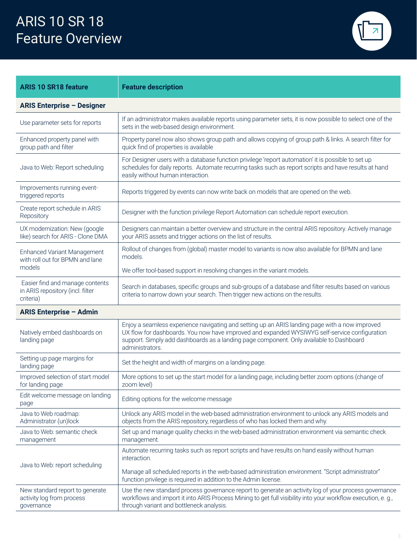

| <b>ARIS 10 SR18 feature</b>                                                      | <b>Feature description</b>                                                                                                                                                                                                                                                                                    |
|----------------------------------------------------------------------------------|---------------------------------------------------------------------------------------------------------------------------------------------------------------------------------------------------------------------------------------------------------------------------------------------------------------|
| <b>ARIS Enterprise - Designer</b>                                                |                                                                                                                                                                                                                                                                                                               |
| Use parameter sets for reports                                                   | If an administrator makes available reports using parameter sets, it is now possible to select one of the<br>sets in the web-based design environment.                                                                                                                                                        |
| Enhanced property panel with<br>group path and filter                            | Property panel now also shows group path and allows copying of group path & links. A search filter for<br>quick find of properties is available                                                                                                                                                               |
| Java to Web: Report scheduling                                                   | For Designer users with a database function privilege 'report automation' it is possible to set up<br>schedules for daily reports. Automate recurring tasks such as report scripts and have results at hand<br>easily without human interaction.                                                              |
| Improvements running event-<br>triggered reports                                 | Reports triggered by events can now write back on models that are opened on the web.                                                                                                                                                                                                                          |
| Create report schedule in ARIS<br>Repository                                     | Designer with the function privilege Report Automation can schedule report execution.                                                                                                                                                                                                                         |
| UX modernization: New (google<br>like) search for ARIS - Clone DMA               | Designers can maintain a better overview and structure in the central ARIS repository. Actively manage<br>your ARIS assets and trigger actions on the list of results.                                                                                                                                        |
| <b>Enhanced Variant Management</b><br>with roll out for BPMN and lane            | Rollout of changes from (global) master model to variants is now also available for BPMN and lane<br>models.                                                                                                                                                                                                  |
| models                                                                           | We offer tool-based support in resolving changes in the variant models.                                                                                                                                                                                                                                       |
| Easier find and manage contents<br>in ARIS repository (incl. filter<br>criteria) | Search in databases, specific groups and sub-groups of a database and filter results based on various<br>criteria to narrow down your search. Then trigger new actions on the results.                                                                                                                        |
| <b>ARIS Enterprise - Admin</b>                                                   |                                                                                                                                                                                                                                                                                                               |
| Natively embed dashboards on<br>landing page                                     | Enjoy a seamless experience navigating and setting up an ARIS landing page with a now improved<br>UX flow for dashboards. You now have improved and expanded WYSIWYG self-service configuration<br>support. Simply add dashboards as a landing page component. Only available to Dashboard<br>administrators. |
| Setting up page margins for<br>landing page                                      | Set the height and width of margins on a landing page.                                                                                                                                                                                                                                                        |
| Improved selection of start model<br>for landing page                            | More options to set up the start model for a landing page, including better zoom options (change of<br>zoom level)                                                                                                                                                                                            |
| Edit welcome message on landing<br>page                                          | Editing options for the welcome message                                                                                                                                                                                                                                                                       |
| Java to Web roadmap:<br>Administrator (un)lock                                   | Unlock any ARIS model in the web-based administration environment to unlock any ARIS models and<br>objects from the ARIS repository, regardless of who has locked them and why.                                                                                                                               |
| Java to Web: semantic check<br>management                                        | Set up and manage quality checks in the web-based administration environment via semantic check<br>management.                                                                                                                                                                                                |
| Java to Web: report scheduling                                                   | Automate recurring tasks such as report scripts and have results on hand easily without human<br>interaction.                                                                                                                                                                                                 |
|                                                                                  | Manage all scheduled reports in the web-based administration environment. "Script administrator"<br>function privilege is required in addition to the Admin license.                                                                                                                                          |
| New standard report to generate<br>activity log from process<br>governance       | Use the new standard process governance report to generate an activity log of your process governance<br>workflows and import it into ARIS Process Mining to get full visibility into your workflow execution, e. g.,<br>through variant and bottleneck analysis.                                             |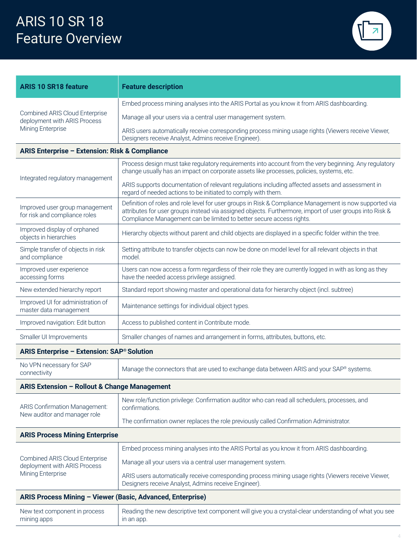

| <b>ARIS 10 SR18 feature</b>                                                                | <b>Feature description</b>                                                                                                                                                                                                                                                                 |  |  |
|--------------------------------------------------------------------------------------------|--------------------------------------------------------------------------------------------------------------------------------------------------------------------------------------------------------------------------------------------------------------------------------------------|--|--|
| <b>Combined ARIS Cloud Enterprise</b><br>deployment with ARIS Process<br>Mining Enterprise | Embed process mining analyses into the ARIS Portal as you know it from ARIS dashboarding.                                                                                                                                                                                                  |  |  |
|                                                                                            | Manage all your users via a central user management system.                                                                                                                                                                                                                                |  |  |
|                                                                                            | ARIS users automatically receive corresponding process mining usage rights (Viewers receive Viewer,<br>Designers receive Analyst, Admins receive Engineer).                                                                                                                                |  |  |
| <b>ARIS Enterprise - Extension: Risk &amp; Compliance</b>                                  |                                                                                                                                                                                                                                                                                            |  |  |
| Integrated regulatory management                                                           | Process design must take regulatory requirements into account from the very beginning. Any regulatory<br>change usually has an impact on corporate assets like processes, policies, systems, etc.                                                                                          |  |  |
|                                                                                            | ARIS supports documentation of relevant regulations including affected assets and assessment in<br>regard of needed actions to be initiated to comply with them.                                                                                                                           |  |  |
| Improved user group management<br>for risk and compliance roles                            | Definition of roles and role level for user groups in Risk & Compliance Management is now supported via<br>attributes for user groups instead via assigned objects. Furthermore, import of user groups into Risk &<br>Compliance Management can be limited to better secure access rights. |  |  |
| Improved display of orphaned<br>objects in hierarchies                                     | Hierarchy objects without parent and child objects are displayed in a specific folder within the tree.                                                                                                                                                                                     |  |  |
| Simple transfer of objects in risk<br>and compliance                                       | Setting attribute to transfer objects can now be done on model level for all relevant objects in that<br>model.                                                                                                                                                                            |  |  |
| Improved user experience<br>accessing forms                                                | Users can now access a form regardless of their role they are currently logged in with as long as they<br>have the needed access privilege assigned.                                                                                                                                       |  |  |
| New extended hierarchy report                                                              | Standard report showing master and operational data for hierarchy object (incl. subtree)                                                                                                                                                                                                   |  |  |
| Improved UI for administration of<br>master data management                                | Maintenance settings for individual object types.                                                                                                                                                                                                                                          |  |  |
| Improved navigation: Edit button                                                           | Access to published content in Contribute mode.                                                                                                                                                                                                                                            |  |  |
| Smaller UI Improvements                                                                    | Smaller changes of names and arrangement in forms, attributes, buttons, etc.                                                                                                                                                                                                               |  |  |
| <b>ARIS Enterprise - Extension: SAP® Solution</b>                                          |                                                                                                                                                                                                                                                                                            |  |  |
| No VPN necessary for SAP<br>connectivity                                                   | Manage the connectors that are used to exchange data between ARIS and your SAP® systems.                                                                                                                                                                                                   |  |  |
| ARIS Extension - Rollout & Change Management                                               |                                                                                                                                                                                                                                                                                            |  |  |
| <b>ARIS Confirmation Management:</b>                                                       | New role/function privilege: Confirmation auditor who can read all schedulers, processes, and<br>confirmations.                                                                                                                                                                            |  |  |
| New auditor and manager role                                                               | The confirmation owner replaces the role previously called Confirmation Administrator.                                                                                                                                                                                                     |  |  |
| <b>ARIS Process Mining Enterprise</b>                                                      |                                                                                                                                                                                                                                                                                            |  |  |
|                                                                                            | Embed process mining analyses into the ARIS Portal as you know it from ARIS dashboarding.                                                                                                                                                                                                  |  |  |
| Combined ARIS Cloud Enterprise<br>deployment with ARIS Process<br>Mining Enterprise        | Manage all your users via a central user management system.                                                                                                                                                                                                                                |  |  |
|                                                                                            | ARIS users automatically receive corresponding process mining usage rights (Viewers receive Viewer,<br>Designers receive Analyst, Admins receive Engineer).                                                                                                                                |  |  |
| ARIS Process Mining - Viewer (Basic, Advanced, Enterprise)                                 |                                                                                                                                                                                                                                                                                            |  |  |
| New text component in process<br>mining apps                                               | Reading the new descriptive text component will give you a crystal-clear understanding of what you see<br>in an app.                                                                                                                                                                       |  |  |